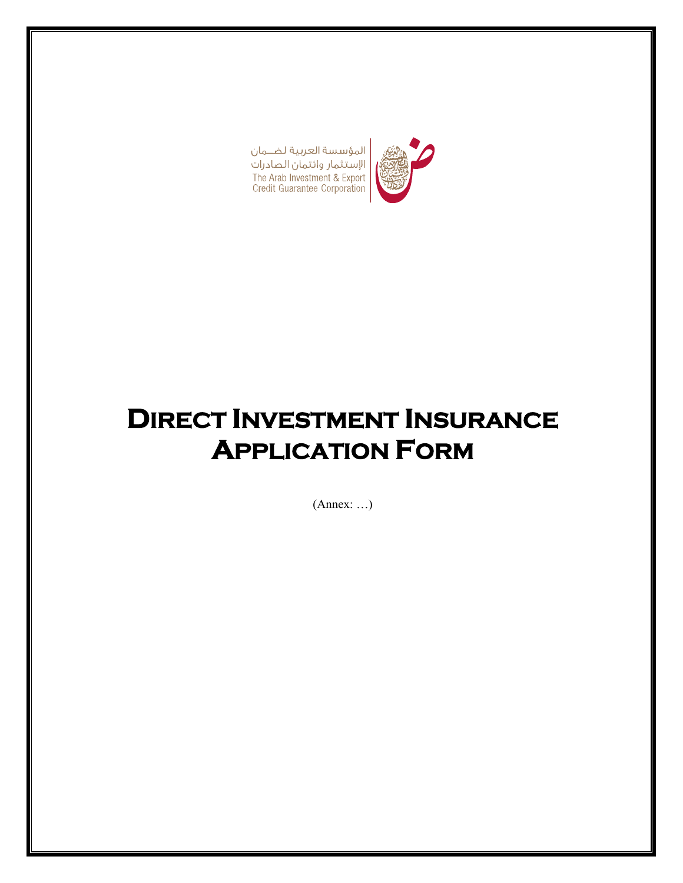

المؤسسة العربية لضلمان الإستثمار<br>الإستثمار وائتمان الصادرات<br>The Arab Investment & Export<br>Credit Guarantee Corporation

# **DIRECT INVESTMENT INSURANCE APPLICATION FORM**

(Annex: …)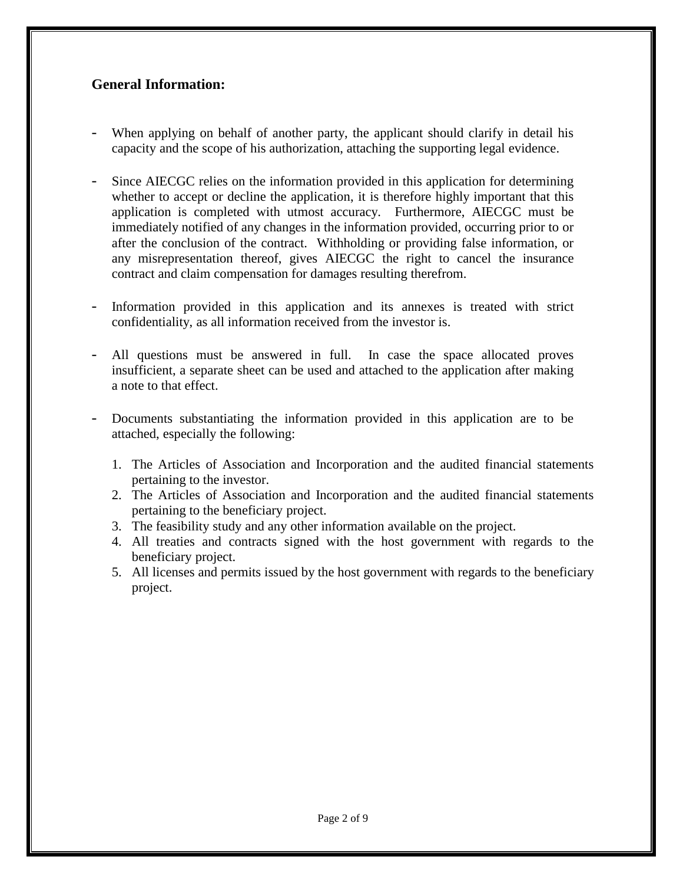## **General Information:**

- When applying on behalf of another party, the applicant should clarify in detail his capacity and the scope of his authorization, attaching the supporting legal evidence.
- Since AIECGC relies on the information provided in this application for determining whether to accept or decline the application, it is therefore highly important that this application is completed with utmost accuracy. Furthermore, AIECGC must be immediately notified of any changes in the information provided, occurring prior to or after the conclusion of the contract. Withholding or providing false information, or any misrepresentation thereof, gives AIECGC the right to cancel the insurance contract and claim compensation for damages resulting therefrom.
- Information provided in this application and its annexes is treated with strict confidentiality, as all information received from the investor is.
- All questions must be answered in full. In case the space allocated proves insufficient, a separate sheet can be used and attached to the application after making a note to that effect.
- Documents substantiating the information provided in this application are to be attached, especially the following:
	- 1. The Articles of Association and Incorporation and the audited financial statements pertaining to the investor.
	- 2. The Articles of Association and Incorporation and the audited financial statements pertaining to the beneficiary project.
	- 3. The feasibility study and any other information available on the project.
	- 4. All treaties and contracts signed with the host government with regards to the beneficiary project.
	- 5. All licenses and permits issued by the host government with regards to the beneficiary project.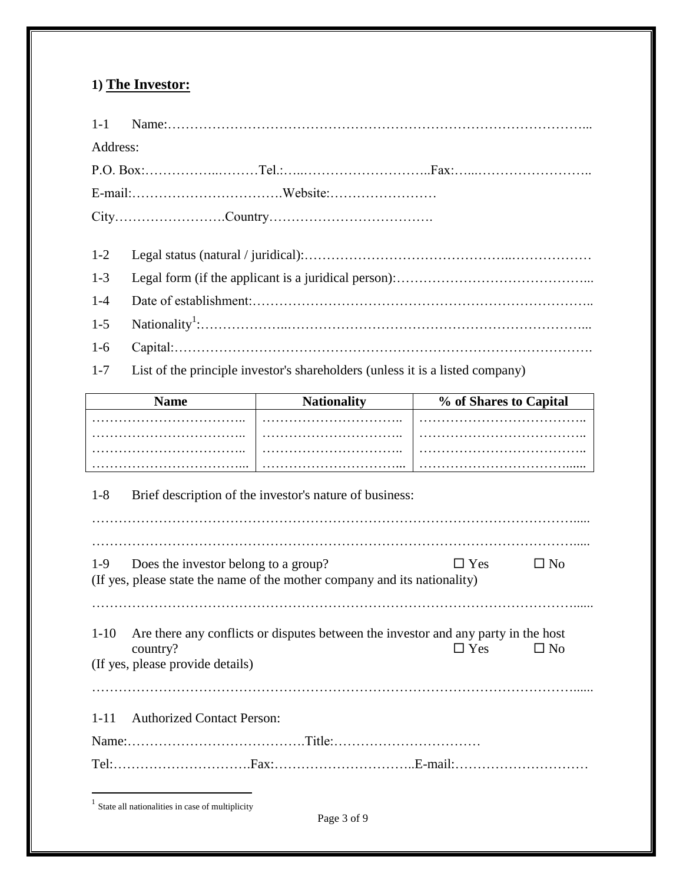# **1) The Investor:**

| $1 - 1$                                       |                                                     |                                                                                    |                            |  |  |
|-----------------------------------------------|-----------------------------------------------------|------------------------------------------------------------------------------------|----------------------------|--|--|
| Address:                                      |                                                     |                                                                                    |                            |  |  |
|                                               |                                                     |                                                                                    |                            |  |  |
|                                               |                                                     |                                                                                    |                            |  |  |
|                                               |                                                     |                                                                                    |                            |  |  |
| $1 - 2$                                       |                                                     |                                                                                    |                            |  |  |
| $1 - 3$                                       |                                                     |                                                                                    |                            |  |  |
| $1 - 4$                                       |                                                     |                                                                                    |                            |  |  |
| $1-5$                                         |                                                     |                                                                                    |                            |  |  |
| $1-6$                                         |                                                     |                                                                                    |                            |  |  |
| $1 - 7$                                       |                                                     | List of the principle investor's shareholders (unless it is a listed company)      |                            |  |  |
|                                               | <b>Name</b>                                         | <b>Nationality</b>                                                                 | % of Shares to Capital     |  |  |
|                                               |                                                     |                                                                                    |                            |  |  |
|                                               |                                                     |                                                                                    |                            |  |  |
| $1-8$                                         |                                                     | Brief description of the investor's nature of business:                            |                            |  |  |
| $1-9$                                         | Does the investor belong to a group?                | (If yes, please state the name of the mother company and its nationality)          | $\Box$ Yes<br>$\square$ No |  |  |
| $1-10$                                        | country?<br>(If yes, please provide details)        | Are there any conflicts or disputes between the investor and any party in the host | $\Box$ Yes<br>$\square$ No |  |  |
|                                               |                                                     |                                                                                    |                            |  |  |
| <b>Authorized Contact Person:</b><br>$1 - 11$ |                                                     |                                                                                    |                            |  |  |
|                                               |                                                     |                                                                                    |                            |  |  |
|                                               |                                                     |                                                                                    |                            |  |  |
|                                               | $1$ State all nationalities in case of multiplicity |                                                                                    |                            |  |  |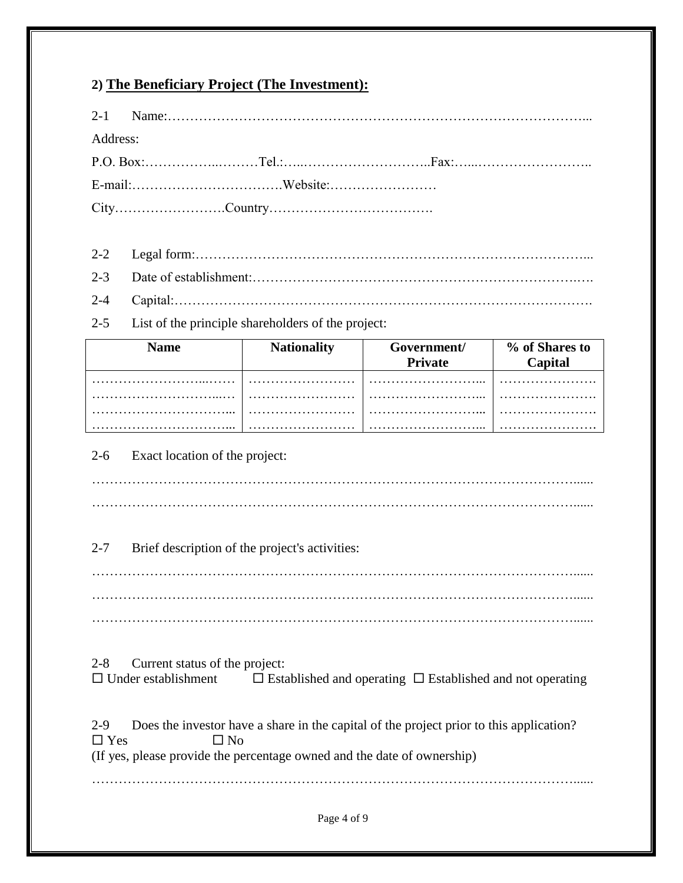## **2) The Beneficiary Project (The Investment):**

| Address: |  |  |  |
|----------|--|--|--|
|          |  |  |  |
|          |  |  |  |
|          |  |  |  |

- 2-2 Legal form:……………………………………………………………………………...
- 2-3 Date of establishment:……………………………………………………………….….
- 2-4 Capital:………………………………………………………………………………….
- 2-5 List of the principle shareholders of the project:

| <b>Name</b> | <b>Nationality</b> | Government/<br><b>Private</b> | % of Shares to<br>Capital |  |
|-------------|--------------------|-------------------------------|---------------------------|--|
|             |                    |                               |                           |  |
|             |                    |                               |                           |  |
|             |                    |                               |                           |  |

#### 2-6 Exact location of the project:

………………………………………………………………………………………………...... ………………………………………………………………………………………………......

#### 2-7 Brief description of the project's activities:

………………………………………………………………………………………………......

#### 2-8 Current status of the project:

 $\Box$  Under establishment  $\Box$  Established and operating  $\Box$  Established and not operating

2-9 Does the investor have a share in the capital of the project prior to this application?  $\Box$  Yes  $\Box$  No (If yes, please provide the percentage owned and the date of ownership)

………………………………………………………………………………………………......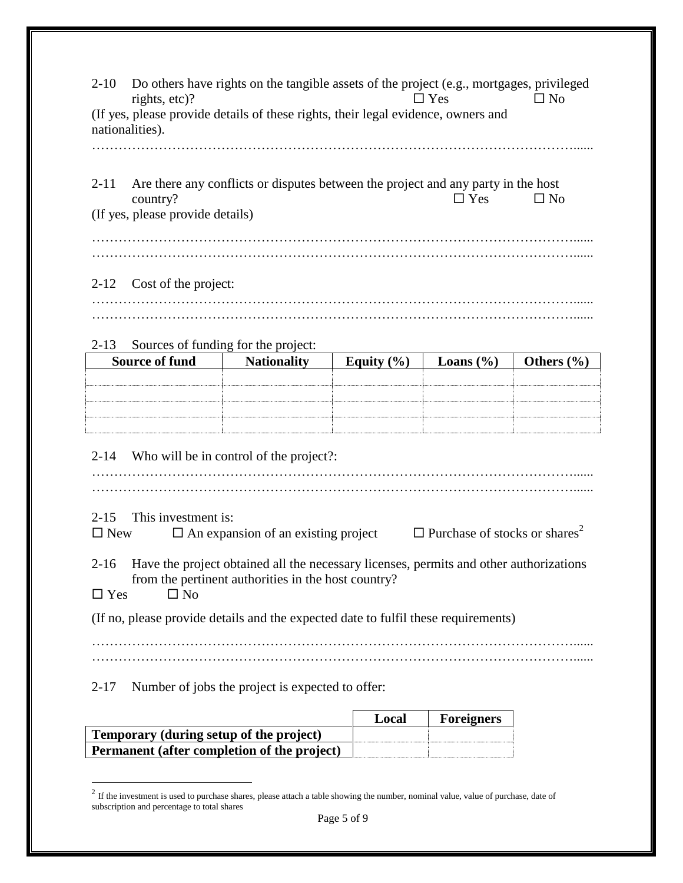| $2 - 10$<br>Do others have rights on the tangible assets of the project (e.g., mortgages, privileged<br>$\Box$ No<br>rights, etc)?<br>$\Box$ Yes<br>(If yes, please provide details of these rights, their legal evidence, owners and<br>nationalities). |                                                     |                |                                                  |                |
|----------------------------------------------------------------------------------------------------------------------------------------------------------------------------------------------------------------------------------------------------------|-----------------------------------------------------|----------------|--------------------------------------------------|----------------|
| Are there any conflicts or disputes between the project and any party in the host<br>$2 - 11$<br>$\Box$ Yes<br>$\square$ No<br>country?<br>(If yes, please provide details)                                                                              |                                                     |                |                                                  |                |
| $2 - 12$<br>Cost of the project:                                                                                                                                                                                                                         |                                                     |                |                                                  |                |
| $2 - 13$                                                                                                                                                                                                                                                 | Sources of funding for the project:                 |                |                                                  |                |
| <b>Source of fund</b>                                                                                                                                                                                                                                    | <b>Nationality</b>                                  | Equity $(\% )$ | Loans $(\% )$                                    | Others $(\% )$ |
|                                                                                                                                                                                                                                                          |                                                     |                |                                                  |                |
|                                                                                                                                                                                                                                                          |                                                     |                |                                                  |                |
|                                                                                                                                                                                                                                                          |                                                     |                |                                                  |                |
| Who will be in control of the project?:<br>$2 - 14$                                                                                                                                                                                                      |                                                     |                |                                                  |                |
|                                                                                                                                                                                                                                                          |                                                     |                |                                                  |                |
| This investment is:<br>$2 - 15$<br>$\Box$ New                                                                                                                                                                                                            | $\Box$ An expansion of an existing project          |                | $\Box$ Purchase of stocks or shares <sup>2</sup> |                |
| 2-16 Have the project obtained all the necessary licenses, permits and other authorizations<br>$\Box$ Yes<br>$\square$ No                                                                                                                                | from the pertinent authorities in the host country? |                |                                                  |                |
| (If no, please provide details and the expected date to fulfil these requirements)                                                                                                                                                                       |                                                     |                |                                                  |                |
|                                                                                                                                                                                                                                                          |                                                     |                |                                                  |                |
|                                                                                                                                                                                                                                                          |                                                     |                |                                                  |                |
| Number of jobs the project is expected to offer:<br>$2 - 17$                                                                                                                                                                                             |                                                     |                |                                                  |                |
| Local<br><b>Foreigners</b>                                                                                                                                                                                                                               |                                                     |                |                                                  |                |
| Temporary (during setup of the project)                                                                                                                                                                                                                  |                                                     |                |                                                  |                |
| Permanent (after completion of the project)                                                                                                                                                                                                              |                                                     |                |                                                  |                |

<sup>&</sup>lt;sup>2</sup> If the investment is used to purchase shares, please attach a table showing the number, nominal value, value of purchase, date of subscription and percentage to total shares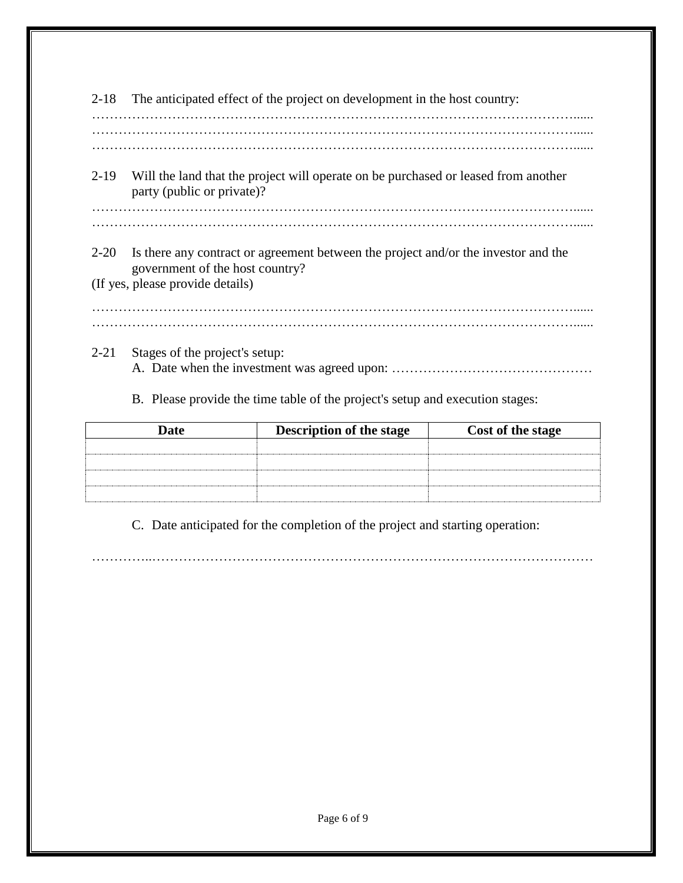2-18 The anticipated effect of the project on development in the host country:

………………………………………………………………………………………………...... ………………………………………………………………………………………………......

…………………………

2-19 Will the land that the project will operate on be purchased or leased from another party (public or private)?

………………………………………………………………………………………………...... ………………………………………………………………………………………………......

- 2-20 Is there any contract or agreement between the project and/or the investor and the government of the host country?
- (If yes, please provide details)

………………………………………………………………………………………………...... ………………………………………………………………………………………………......

- 2-21 Stages of the project's setup: A. Date when the investment was agreed upon: ………………………………………
	- B. Please provide the time table of the project's setup and execution stages:

| Date | <b>Description of the stage</b> | Cost of the stage |
|------|---------------------------------|-------------------|
|      |                                 |                   |
|      |                                 |                   |
|      |                                 |                   |
|      |                                 |                   |

C. Date anticipated for the completion of the project and starting operation:

…………..………………………………………………………………………………………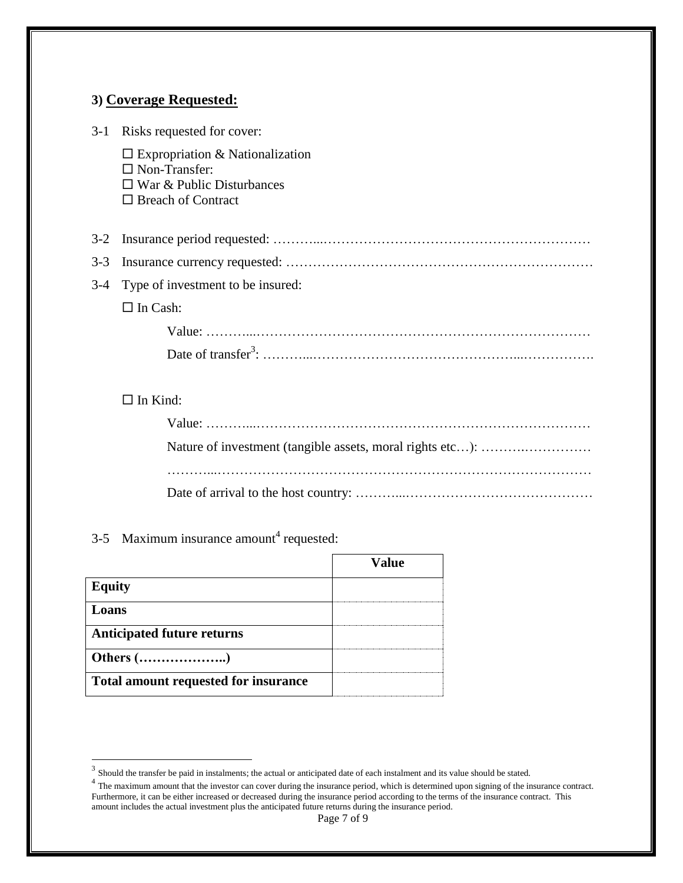#### **3) Coverage Requested:**

| $3-1$<br>Risks requested for cover: |                                                                                                                                    |  |  |
|-------------------------------------|------------------------------------------------------------------------------------------------------------------------------------|--|--|
|                                     | $\square$ Expropriation & Nationalization<br>$\Box$ Non-Transfer:<br>$\Box$ War & Public Disturbances<br>$\Box$ Breach of Contract |  |  |
| $3-2$                               |                                                                                                                                    |  |  |
| $3-3$                               |                                                                                                                                    |  |  |
| $3-4$                               | Type of investment to be insured:                                                                                                  |  |  |
|                                     | $\Box$ In Cash:                                                                                                                    |  |  |
|                                     |                                                                                                                                    |  |  |
|                                     |                                                                                                                                    |  |  |
|                                     | $\Box$ In Kind:                                                                                                                    |  |  |
|                                     |                                                                                                                                    |  |  |
|                                     |                                                                                                                                    |  |  |
|                                     |                                                                                                                                    |  |  |

#### 3-5 Maximum insurance amount<sup>4</sup> requested:

|                                             | Value |
|---------------------------------------------|-------|
| <b>Equity</b>                               |       |
| Loans                                       |       |
| <b>Anticipated future returns</b>           |       |
| Others ()                                   |       |
| <b>Total amount requested for insurance</b> |       |

<sup>&</sup>lt;sup>3</sup> Should the transfer be paid in instalments; the actual or anticipated date of each instalment and its value should be stated.

<sup>&</sup>lt;sup>4</sup> The maximum amount that the investor can cover during the insurance period, which is determined upon signing of the insurance contract. Furthermore, it can be either increased or decreased during the insurance period according to the terms of the insurance contract. This amount includes the actual investment plus the anticipated future returns during the insurance period.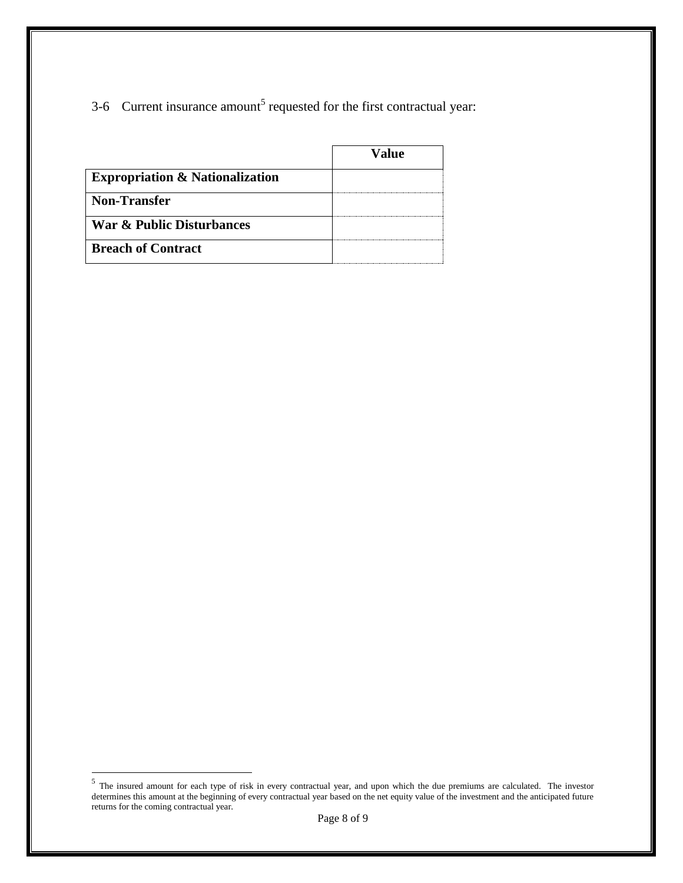3-6 Current insurance amount<sup>5</sup> requested for the first contractual year:

|                                            | Value |
|--------------------------------------------|-------|
| <b>Expropriation &amp; Nationalization</b> |       |
| <b>Non-Transfer</b>                        |       |
| <b>War &amp; Public Disturbances</b>       |       |
| <b>Breach of Contract</b>                  |       |

<sup>&</sup>lt;sup>5</sup> The insured amount for each type of risk in every contractual year, and upon which the due premiums are calculated. The investor determines this amount at the beginning of every contractual year based on the net equity value of the investment and the anticipated future returns for the coming contractual year.